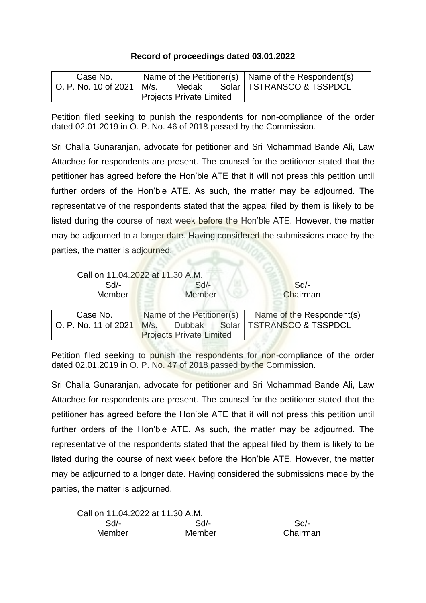## **Record of proceedings dated 03.01.2022**

| Case No.                   |  |                                 |  | Name of the Petitioner(s) $\vert$ Name of the Respondent(s) |
|----------------------------|--|---------------------------------|--|-------------------------------------------------------------|
| 「O. P. No. 10 of 2021丨M/s. |  | Medak                           |  | Solar   TSTRANSCO & TSSPDCL                                 |
|                            |  | <b>Projects Private Limited</b> |  |                                                             |

Petition filed seeking to punish the respondents for non-compliance of the order dated 02.01.2019 in O. P. No. 46 of 2018 passed by the Commission.

Sri Challa Gunaranjan, advocate for petitioner and Sri Mohammad Bande Ali, Law Attachee for respondents are present. The counsel for the petitioner stated that the petitioner has agreed before the Hon'ble ATE that it will not press this petition until further orders of the Hon'ble ATE. As such, the matter may be adjourned. The representative of the respondents stated that the appeal filed by them is likely to be listed during the course of next week before the Hon'ble ATE. However, the matter may be adjourned to a longer date. Having considered the submissions made by the parties, the matter is adjourned.

|                      | Call on 11.04.2022 at 11.30 A.M. |                             |
|----------------------|----------------------------------|-----------------------------|
| $Sd$ -               | $Sd$ -                           | Sd                          |
| Member               | Member                           | Chairman                    |
|                      |                                  |                             |
| Case No.             | Name of the Petitioner(s)        | Name of the Respondent(s)   |
| O. P. No. 11 of 2021 | M/s.<br>Dubbak                   | Solar   TSTRANSCO & TSSPDCL |
|                      | <b>Projects Private Limited</b>  |                             |

Petition filed seeking to punish the respondents for non-compliance of the order dated 02.01.2019 in O. P. No. 47 of 2018 passed by the Commission.

Sri Challa Gunaranjan, advocate for petitioner and Sri Mohammad Bande Ali, Law Attachee for respondents are present. The counsel for the petitioner stated that the petitioner has agreed before the Hon'ble ATE that it will not press this petition until further orders of the Hon'ble ATE. As such, the matter may be adjourned. The representative of the respondents stated that the appeal filed by them is likely to be listed during the course of next week before the Hon'ble ATE. However, the matter may be adjourned to a longer date. Having considered the submissions made by the parties, the matter is adjourned.

| Call on 11.04.2022 at 11.30 A.M. |        |          |
|----------------------------------|--------|----------|
| $Sd$ -                           | $Sd$ - | Sd       |
| Member                           | Member | Chairman |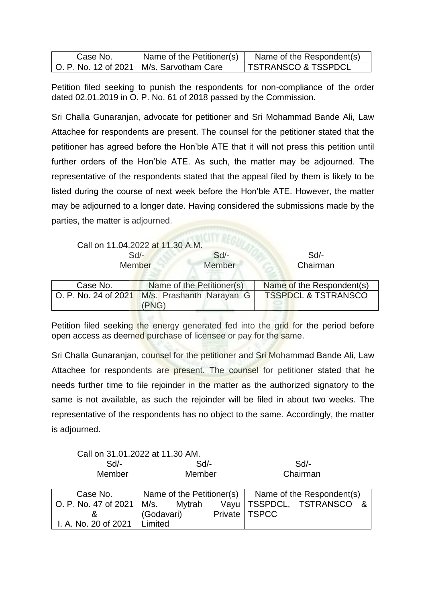| Case No. | Name of the Petitioner(s)                    | Name of the Respondent(s)      |
|----------|----------------------------------------------|--------------------------------|
|          | I O. P. No. 12 of 2021   M/s. Sarvotham Care | <b>TSTRANSCO &amp; TSSPDCL</b> |

Petition filed seeking to punish the respondents for non-compliance of the order dated 02.01.2019 in O. P. No. 61 of 2018 passed by the Commission.

Sri Challa Gunaranjan, advocate for petitioner and Sri Mohammad Bande Ali, Law Attachee for respondents are present. The counsel for the petitioner stated that the petitioner has agreed before the Hon'ble ATE that it will not press this petition until further orders of the Hon'ble ATE. As such, the matter may be adjourned. The representative of the respondents stated that the appeal filed by them is likely to be listed during the course of next week before the Hon'ble ATE. However, the matter may be adjourned to a longer date. Having considered the submissions made by the parties, the matter is adjourned.

|                      | Call on 11.04.2022 at 11.30 A.M. |        |                                |
|----------------------|----------------------------------|--------|--------------------------------|
| $Sd$ -               |                                  | $Sd$ - | Sd                             |
| <b>Member</b>        |                                  | Member | Chairman                       |
|                      |                                  |        |                                |
| Case No.             | Name of the Petitioner(s)        |        | Name of the Respondent(s)      |
| O. P. No. 24 of 2021 | M/s. Prashanth Narayan G         |        | <b>TSSPDCL &amp; TSTRANSCO</b> |
|                      | (PNG)                            |        |                                |

Petition filed seeking the energy generated fed into the grid for the period before open access as deemed purchase of licensee or pay for the same.

Sri Challa Gunaranjan, counsel for the petitioner and Sri Mohammad Bande Ali, Law Attachee for respondents are present. The counsel for petitioner stated that he needs further time to file rejoinder in the matter as the authorized signatory to the same is not available, as such the rejoinder will be filed in about two weeks. The representative of the respondents has no object to the same. Accordingly, the matter is adjourned.

Call on 31.01.2022 at 11.30 AM.

| Sd<br>Member                       | Sd<br>Member |                           |      |                 | Sd<br>Chairman            |  |
|------------------------------------|--------------|---------------------------|------|-----------------|---------------------------|--|
| Case No.                           |              | Name of the Petitioner(s) |      |                 | Name of the Respondent(s) |  |
| O. P. No. 47 of 2021   M/s. Mytrah |              |                           | Vayu |                 | TSSPDCL, TSTRANSCO &      |  |
| ଝ                                  | (Godavari)   |                           |      | Private   TSPCC |                           |  |
| I. A. No. 20 of 2021               | Limited      |                           |      |                 |                           |  |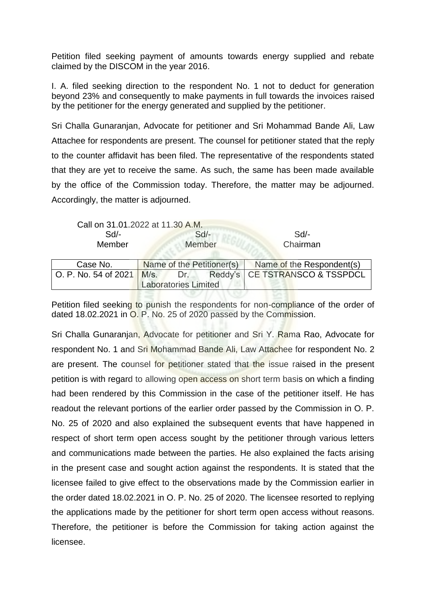Petition filed seeking payment of amounts towards energy supplied and rebate claimed by the DISCOM in the year 2016.

I. A. filed seeking direction to the respondent No. 1 not to deduct for generation beyond 23% and consequently to make payments in full towards the invoices raised by the petitioner for the energy generated and supplied by the petitioner.

Sri Challa Gunaranjan, Advocate for petitioner and Sri Mohammad Bande Ali, Law Attachee for respondents are present. The counsel for petitioner stated that the reply to the counter affidavit has been filed. The representative of the respondents stated that they are yet to receive the same. As such, the same has been made available by the office of the Commission today. Therefore, the matter may be adjourned. Accordingly, the matter is adjourned.



| Case No.                    |                             |                   |  | Name of the Petitioner(s) Name of the Respondent(s) |
|-----------------------------|-----------------------------|-------------------|--|-----------------------------------------------------|
| O. P. No. 54 of 2021   M/s. |                             | <b>Dr.</b> Primer |  | Reddy's   CE TSTRANSCO & TSSPDCL                    |
|                             | <b>Laboratories Limited</b> |                   |  |                                                     |
|                             |                             |                   |  |                                                     |

Petition filed seeking to punish the respondents for non-compliance of the order of dated 18.02.2021 in O. P. No. 25 of 2020 passed by the Commission.

Sri Challa Gunaranjan, Advocate for petitioner and Sri Y. Rama Rao, Advocate for respondent No. 1 and Sri Mohammad Bande Ali, Law Attachee for respondent No. 2 are present. The counsel for petitioner stated that the issue raised in the present petition is with regard to allowing open access on short term basis on which a finding had been rendered by this Commission in the case of the petitioner itself. He has readout the relevant portions of the earlier order passed by the Commission in O. P. No. 25 of 2020 and also explained the subsequent events that have happened in respect of short term open access sought by the petitioner through various letters and communications made between the parties. He also explained the facts arising in the present case and sought action against the respondents. It is stated that the licensee failed to give effect to the observations made by the Commission earlier in the order dated 18.02.2021 in O. P. No. 25 of 2020. The licensee resorted to replying the applications made by the petitioner for short term open access without reasons. Therefore, the petitioner is before the Commission for taking action against the licensee.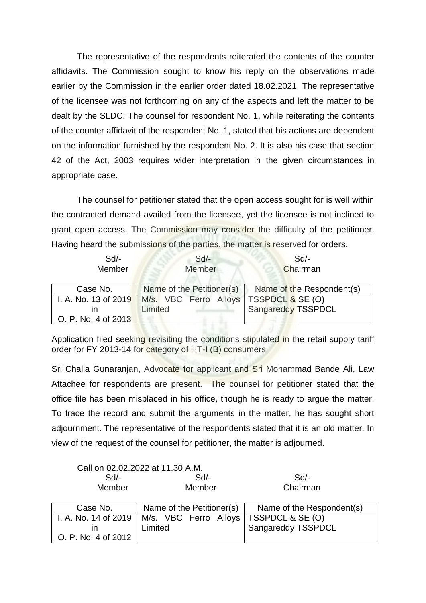The representative of the respondents reiterated the contents of the counter affidavits. The Commission sought to know his reply on the observations made earlier by the Commission in the earlier order dated 18.02.2021. The representative of the licensee was not forthcoming on any of the aspects and left the matter to be dealt by the SLDC. The counsel for respondent No. 1, while reiterating the contents of the counter affidavit of the respondent No. 1, stated that his actions are dependent on the information furnished by the respondent No. 2. It is also his case that section 42 of the Act, 2003 requires wider interpretation in the given circumstances in appropriate case.

The counsel for petitioner stated that the open access sought for is well within the contracted demand availed from the licensee, yet the licensee is not inclined to grant open access. The Commission may consider the difficulty of the petitioner. Having heard the submissions of the parties, the matter is reserved for orders.

| $Sd$ -<br>Member     | $Sd$ -<br>Member          | Sd<br>Chairman            |
|----------------------|---------------------------|---------------------------|
| Case No.             | Name of the Petitioner(s) | Name of the Respondent(s) |
| I. A. No. 13 of 2019 | M/s. VBC Ferro Alloys     | TSSPDCL & SE (O)          |
| ın                   | Limited                   | Sangareddy TSSPDCL        |
| O. P. No. 4 of 2013  |                           |                           |

Application filed seeking revisiting the conditions stipulated in the retail supply tariff order for FY 2013-14 for category of HT-I (B) consumers.

Sri Challa Gunaranjan, Advocate for applicant and Sri Mohammad Bande Ali, Law Attachee for respondents are present. The counsel for petitioner stated that the office file has been misplaced in his office, though he is ready to argue the matter. To trace the record and submit the arguments in the matter, he has sought short adjournment. The representative of the respondents stated that it is an old matter. In view of the request of the counsel for petitioner, the matter is adjourned.

|                      | Call on 02.02.2022 at 11.30 A.M. |                           |
|----------------------|----------------------------------|---------------------------|
| Sd/-                 | Sd                               | Sd                        |
| Member               | Member                           | Chairman                  |
|                      |                                  |                           |
| Case No.             | Name of the Petitioner(s)        | Name of the Respondent(s) |
| I. A. No. 14 of 2019 |                                  |                           |
|                      | M/s. VBC Ferro Alloys            | TSSPDCL & SE (O)          |
| ın                   | Limited                          | Sangareddy TSSPDCL        |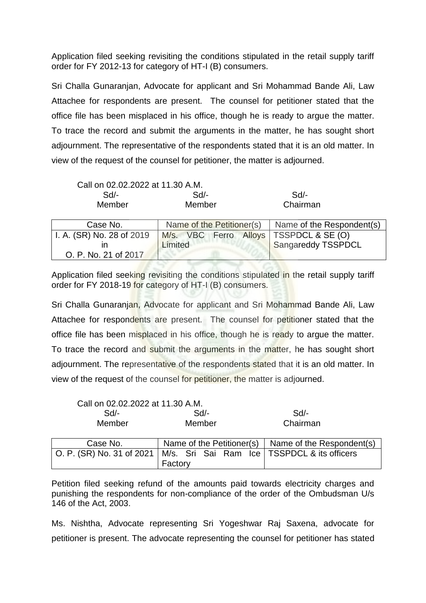Application filed seeking revisiting the conditions stipulated in the retail supply tariff order for FY 2012-13 for category of HT-I (B) consumers.

Sri Challa Gunaranjan, Advocate for applicant and Sri Mohammad Bande Ali, Law Attachee for respondents are present. The counsel for petitioner stated that the office file has been misplaced in his office, though he is ready to argue the matter. To trace the record and submit the arguments in the matter, he has sought short adjournment. The representative of the respondents stated that it is an old matter. In view of the request of the counsel for petitioner, the matter is adjourned.

| Call on 02.02.2022 at 11.30 A.M. |                                          |                           |
|----------------------------------|------------------------------------------|---------------------------|
| $Sd$ -                           | $Sd$ -                                   | Sd/-                      |
| Member                           | Member                                   | Chairman                  |
|                                  |                                          |                           |
| Case No.                         | Name of the Petitioner(s)                | Name of the Respondent(s) |
| I. A. (SR) No. 28 of 2019        | M/s. VBC Ferro Alloys   TSSPDCL & SE (O) |                           |
| ın                               | Limited                                  | Sangareddy TSSPDCL        |
| O. P. No. 21 of 2017             |                                          |                           |

Application filed seeking revisiting the conditions stipulated in the retail supply tariff order for FY 2018-19 for category of HT-I (B) consumers.

Sri Challa Gunaranjan, Advocate for applicant and Sri Mohammad Bande Ali, Law Attachee for respondents are present. The counsel for petitioner stated that the office file has been misplaced in his office, though he is ready to argue the matter. To trace the record and submit the arguments in the matter, he has sought short adjournment. The representative of the respondents stated that it is an old matter. In view of the request of the counsel for petitioner, the matter is adjourned.

Call on 02.02.2022 at 11.30 A.M.

| Sd/-        | $Sd$ -                  | Sd/-                                                               |
|-------------|-------------------------|--------------------------------------------------------------------|
| Member      | Member                  | Chairman                                                           |
| $\sim$<br>. | $\sim$ $\sim$<br>$\sim$ | .<br>$\sim$ $\sim$<br>$\sim$<br>$\overline{\phantom{0}}$<br>$\sim$ |

| Case No.                                                                  |         |  |  |  | Name of the Petitioner(s) $\vert$ Name of the Respondent(s) |
|---------------------------------------------------------------------------|---------|--|--|--|-------------------------------------------------------------|
| O. P. (SR) No. 31 of 2021   M/s. Sri Sai Ram Ice   TSSPDCL & its officers | Factory |  |  |  |                                                             |

Petition filed seeking refund of the amounts paid towards electricity charges and punishing the respondents for non-compliance of the order of the Ombudsman U/s 146 of the Act, 2003.

Ms. Nishtha, Advocate representing Sri Yogeshwar Raj Saxena, advocate for petitioner is present. The advocate representing the counsel for petitioner has stated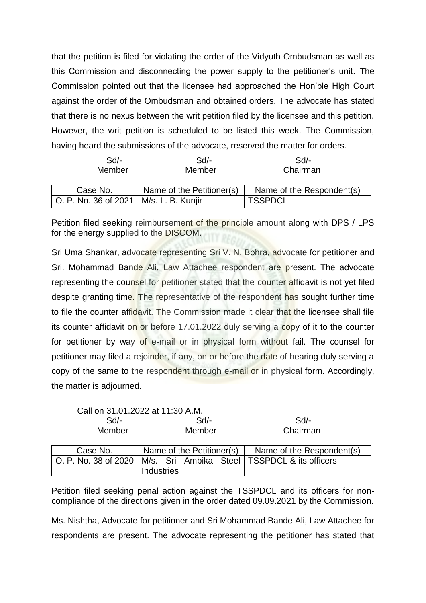that the petition is filed for violating the order of the Vidyuth Ombudsman as well as this Commission and disconnecting the power supply to the petitioner's unit. The Commission pointed out that the licensee had approached the Hon'ble High Court against the order of the Ombudsman and obtained orders. The advocate has stated that there is no nexus between the writ petition filed by the licensee and this petition. However, the writ petition is scheduled to be listed this week. The Commission, having heard the submissions of the advocate, reserved the matter for orders.

| $Sd$ -                                   | Sd                        | Sd/-                      |
|------------------------------------------|---------------------------|---------------------------|
| Member                                   | Member                    | Chairman                  |
| Case No.                                 | Name of the Petitioner(s) | Name of the Respondent(s) |
| O. P. No. 36 of 2021   M/s. L. B. Kunjir |                           | <b>TSSPDCL</b>            |

Petition filed seeking reimbursement of the principle amount along with DPS / LPS for the energy supplied to the DISCOM.

Sri Uma Shankar, advocate representing Sri V. N. Bohra, advocate for petitioner and Sri. Mohammad Bande Ali, Law Attachee respondent are present. The advocate representing the counsel for petitioner stated that the counter affidavit is not yet filed despite granting time. The representative of the respondent has sought further time to file the counter affidavit. The Commission made it clear that the licensee shall file its counter affidavit on or before 17.01.2022 duly serving a copy of it to the counter for petitioner by way of e-mail or in physical form without fail. The counsel for petitioner may filed a rejoinder, if any, on or before the date of hearing duly serving a copy of the same to the respondent through e-mail or in physical form. Accordingly, the matter is adjourned.

|              | Call on 31.01.2022 at 11:30 A.M.                                                           |                           |
|--------------|--------------------------------------------------------------------------------------------|---------------------------|
| Sd<br>$Sd$ - |                                                                                            | Sd/-                      |
| Member       | Member                                                                                     | Chairman                  |
| Case No.     | Name of the Petitioner(s)                                                                  | Name of the Respondent(s) |
|              | O. P. No. 38 of 2020   M/s. Sri Ambika Steel   TSSPDCL & its officers<br><b>Industries</b> |                           |

Petition filed seeking penal action against the TSSPDCL and its officers for noncompliance of the directions given in the order dated 09.09.2021 by the Commission.

Ms. Nishtha, Advocate for petitioner and Sri Mohammad Bande Ali, Law Attachee for respondents are present. The advocate representing the petitioner has stated that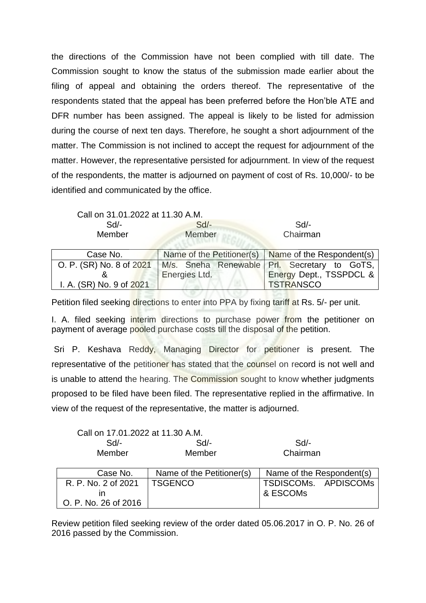the directions of the Commission have not been complied with till date. The Commission sought to know the status of the submission made earlier about the filing of appeal and obtaining the orders thereof. The representative of the respondents stated that the appeal has been preferred before the Hon'ble ATE and DFR number has been assigned. The appeal is likely to be listed for admission during the course of next ten days. Therefore, he sought a short adjournment of the matter. The Commission is not inclined to accept the request for adjournment of the matter. However, the representative persisted for adjournment. In view of the request of the respondents, the matter is adjourned on payment of cost of Rs. 10,000/- to be identified and communicated by the office.

Call on 31.01.2022 at 11.30 A.M.

| Sd/-          | Sd/-   | $Sd$ -   |
|---------------|--------|----------|
| <b>Member</b> | Member | Chairman |

| Case No.                 |                      | Name of the Petitioner(s) $\vert$ Name of the Respondent(s) |  |
|--------------------------|----------------------|-------------------------------------------------------------|--|
| O. P. (SR) No. 8 of 2021 |                      | M/s. Sneha Renewable Prl. Secretary to GoTS,                |  |
|                          | <b>Energies Ltd.</b> | Energy Dept., TSSPDCL &                                     |  |
| I. A. (SR) No. 9 of 2021 |                      | <b>TSTRANSCO</b>                                            |  |
|                          |                      |                                                             |  |

Petition filed seeking directions to enter into PPA by fixing tariff at Rs. 5/- per unit.

I. A. filed seeking interim directions to purchase power from the petitioner on payment of average pooled purchase costs till the disposal of the petition.

Sri P. Keshava Reddy, Managing Director for petitioner is present. The representative of the petitioner has stated that the counsel on record is not well and is unable to attend the hearing. The Commission sought to know whether judgments proposed to be filed have been filed. The representative replied in the affirmative. In view of the request of the representative, the matter is adjourned.

| Call on 17.01.2022 at 11.30 A.M. |        |          |
|----------------------------------|--------|----------|
| $Sd/-$                           | Sd/-   | Sd       |
| Member                           | Member | Chairman |
|                                  |        |          |

| Case No.             | Name of the Petitioner(s) | Name of the Respondent(s) |
|----------------------|---------------------------|---------------------------|
| R. P. No. 2 of 2021  | <b>TSGENCO</b>            | TSDISCOMs. APDISCOMs      |
|                      |                           | l & ESCOMs                |
| O. P. No. 26 of 2016 |                           |                           |

Review petition filed seeking review of the order dated 05.06.2017 in O. P. No. 26 of 2016 passed by the Commission.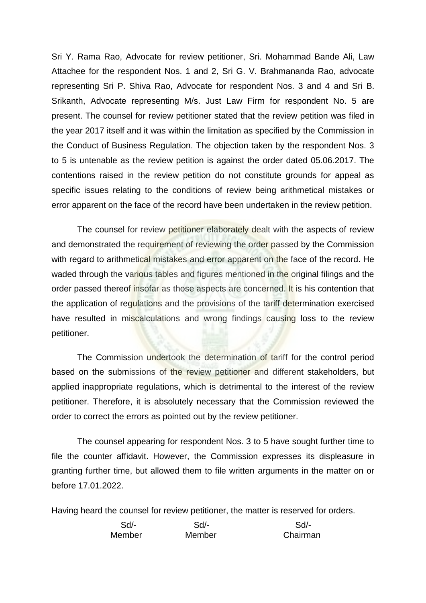Sri Y. Rama Rao, Advocate for review petitioner, Sri. Mohammad Bande Ali, Law Attachee for the respondent Nos. 1 and 2, Sri G. V. Brahmananda Rao, advocate representing Sri P. Shiva Rao, Advocate for respondent Nos. 3 and 4 and Sri B. Srikanth, Advocate representing M/s. Just Law Firm for respondent No. 5 are present. The counsel for review petitioner stated that the review petition was filed in the year 2017 itself and it was within the limitation as specified by the Commission in the Conduct of Business Regulation. The objection taken by the respondent Nos. 3 to 5 is untenable as the review petition is against the order dated 05.06.2017. The contentions raised in the review petition do not constitute grounds for appeal as specific issues relating to the conditions of review being arithmetical mistakes or error apparent on the face of the record have been undertaken in the review petition.

The counsel for review petitioner elaborately dealt with the aspects of review and demonstrated the requirement of reviewing the order passed by the Commission with regard to arithmetical mistakes and error apparent on the face of the record. He waded through the various tables and figures mentioned in the original filings and the order passed thereof insofar as those aspects are concerned. It is his contention that the application of regulations and the provisions of the tariff determination exercised have resulted in miscalculations and wrong findings causing loss to the review petitioner.

The Commission undertook the determination of tariff for the control period based on the submissions of the review petitioner and different stakeholders, but applied inappropriate regulations, which is detrimental to the interest of the review petitioner. Therefore, it is absolutely necessary that the Commission reviewed the order to correct the errors as pointed out by the review petitioner.

The counsel appearing for respondent Nos. 3 to 5 have sought further time to file the counter affidavit. However, the Commission expresses its displeasure in granting further time, but allowed them to file written arguments in the matter on or before 17.01.2022.

Having heard the counsel for review petitioner, the matter is reserved for orders.

| Sd/-   | Sd/-   | Sd       |
|--------|--------|----------|
| Member | Member | Chairman |